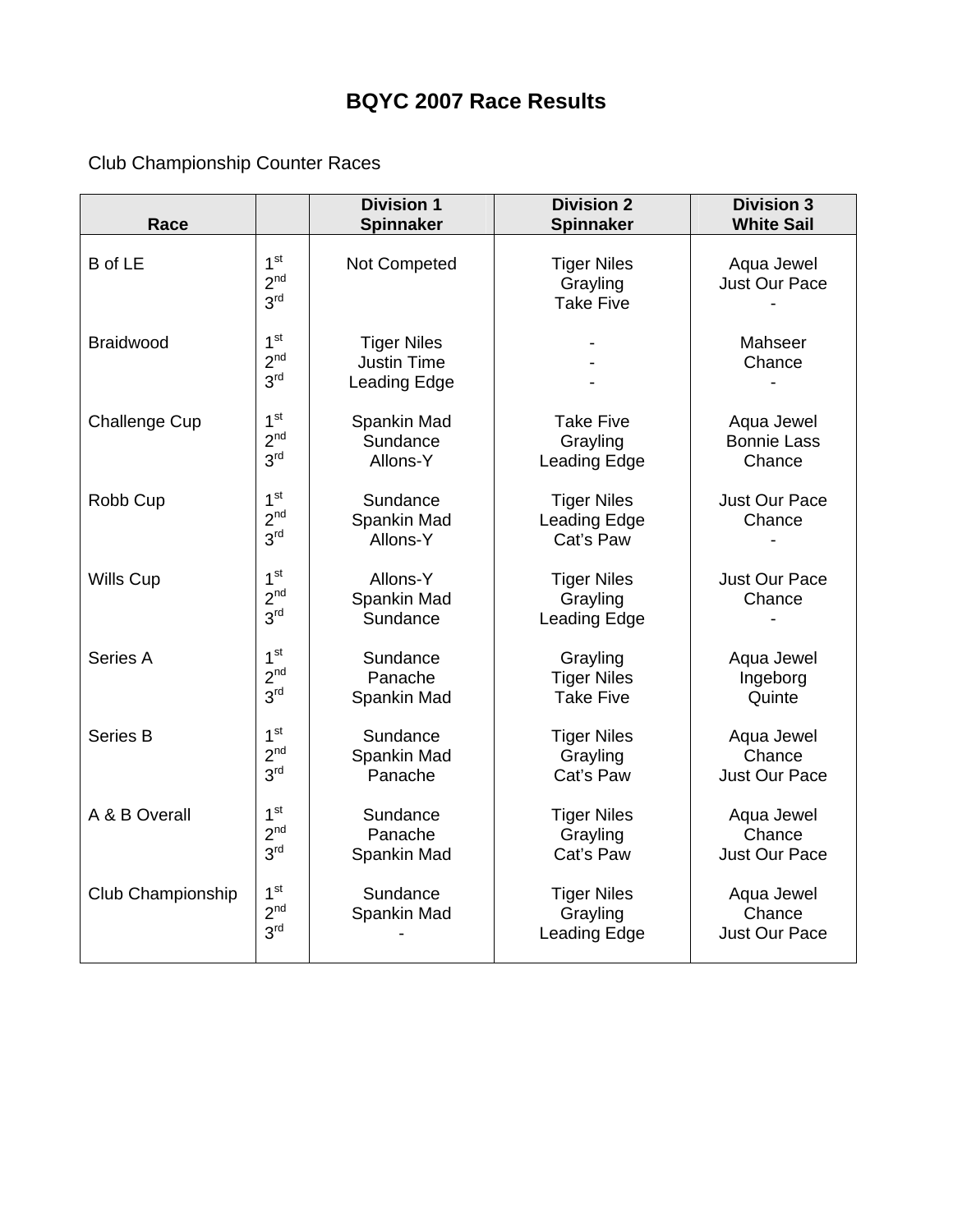## **BQYC 2007 Race Results**

Club Championship Counter Races

| Race                 |                                                       | <b>Division 1</b><br>Spinnaker                                                         | <b>Division 2</b><br><b>Spinnaker</b>              | <b>Division 3</b><br><b>White Sail</b>       |  |
|----------------------|-------------------------------------------------------|----------------------------------------------------------------------------------------|----------------------------------------------------|----------------------------------------------|--|
| <b>B</b> of LE       | 1 <sup>st</sup><br>2 <sup>nd</sup><br>3 <sup>rd</sup> | Not Competed<br><b>Tiger Niles</b><br>Grayling<br><b>Take Five</b>                     |                                                    | Aqua Jewel<br><b>Just Our Pace</b>           |  |
| <b>Braidwood</b>     | 1 <sup>st</sup><br>2 <sup>nd</sup><br>3 <sup>rd</sup> | <b>Tiger Niles</b><br><b>Justin Time</b><br>Leading Edge                               | Mahseer<br>Chance                                  |                                              |  |
| <b>Challenge Cup</b> | 1 <sup>st</sup><br>2 <sup>nd</sup><br>3 <sup>rd</sup> | Spankin Mad<br><b>Take Five</b><br>Sundance<br>Grayling<br>Allons-Y<br>Leading Edge    |                                                    | Aqua Jewel<br><b>Bonnie Lass</b><br>Chance   |  |
| Robb Cup             | 1 <sup>st</sup><br>2 <sup>nd</sup><br>3 <sup>rd</sup> | Sundance<br><b>Tiger Niles</b><br>Spankin Mad<br>Leading Edge<br>Allons-Y<br>Cat's Paw |                                                    | Just Our Pace<br>Chance                      |  |
| <b>Wills Cup</b>     | 1 <sup>st</sup><br>2 <sup>nd</sup><br>3 <sup>rd</sup> | Allons-Y<br><b>Tiger Niles</b><br>Spankin Mad<br>Grayling<br>Sundance<br>Leading Edge  |                                                    | <b>Just Our Pace</b><br>Chance               |  |
| Series A             | 1 <sup>st</sup><br>2 <sup>nd</sup><br>3 <sup>rd</sup> | Sundance<br>Panache<br>Spankin Mad                                                     | Grayling<br><b>Tiger Niles</b><br><b>Take Five</b> | Aqua Jewel<br>Ingeborg<br>Quinte             |  |
| Series B             | 1 <sup>st</sup><br>2 <sup>nd</sup><br>3 <sup>rd</sup> | Sundance<br><b>Tiger Niles</b><br>Spankin Mad<br>Grayling<br>Cat's Paw<br>Panache      |                                                    | Aqua Jewel<br>Chance<br><b>Just Our Pace</b> |  |
| A & B Overall        | 1 <sup>st</sup><br>2 <sup>nd</sup><br>3 <sup>rd</sup> | Sundance<br><b>Tiger Niles</b><br>Panache<br>Grayling<br>Cat's Paw<br>Spankin Mad      |                                                    | Aqua Jewel<br>Chance<br><b>Just Our Pace</b> |  |
| Club Championship    | 1 <sup>st</sup><br>2 <sup>nd</sup><br>3 <sup>rd</sup> | Sundance<br>Spankin Mad                                                                | <b>Tiger Niles</b><br>Grayling<br>Leading Edge     | Aqua Jewel<br>Chance<br><b>Just Our Pace</b> |  |